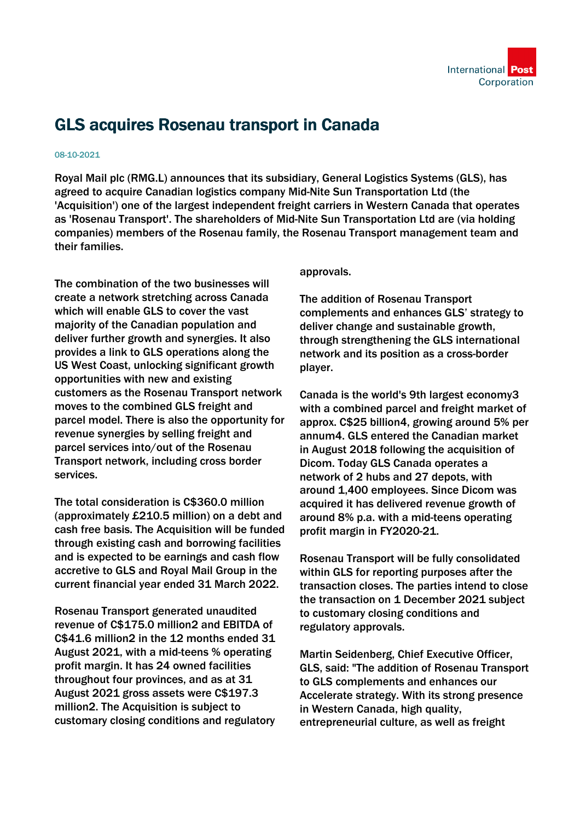

## GLS acquires Rosenau transport in Canada

## 08-10-2021

Royal Mail plc (RMG.L) announces that its subsidiary, General Logistics Systems (GLS), has agreed to acquire Canadian logistics company Mid-Nite Sun Transportation Ltd (the 'Acquisition') one of the largest independent freight carriers in Western Canada that operates as 'Rosenau Transport'. The shareholders of Mid-Nite Sun Transportation Ltd are (via holding companies) members of the Rosenau family, the Rosenau Transport management team and their families.

The combination of the two businesses will create a network stretching across Canada which will enable GLS to cover the vast majority of the Canadian population and deliver further growth and synergies. It also provides a link to GLS operations along the US West Coast, unlocking significant growth opportunities with new and existing customers as the Rosenau Transport network moves to the combined GLS freight and parcel model. There is also the opportunity for revenue synergies by selling freight and parcel services into/out of the Rosenau Transport network, including cross border services.

The total consideration is C\$360.0 million (approximately £210.5 million) on a debt and cash free basis. The Acquisition will be funded through existing cash and borrowing facilities and is expected to be earnings and cash flow accretive to GLS and Royal Mail Group in the current financial year ended 31 March 2022.

Rosenau Transport generated unaudited revenue of C\$175.0 million2 and EBITDA of C\$41.6 million2 in the 12 months ended 31 August 2021, with a mid-teens % operating profit margin. It has 24 owned facilities throughout four provinces, and as at 31 August 2021 gross assets were C\$197.3 million2. The Acquisition is subject to customary closing conditions and regulatory

## approvals.

The addition of Rosenau Transport complements and enhances GLS' strategy to deliver change and sustainable growth, through strengthening the GLS international network and its position as a cross-border player.

Canada is the world's 9th largest economy3 with a combined parcel and freight market of approx. C\$25 billion4, growing around 5% per annum4. GLS entered the Canadian market in August 2018 following the acquisition of Dicom. Today GLS Canada operates a network of 2 hubs and 27 depots, with around 1,400 employees. Since Dicom was acquired it has delivered revenue growth of around 8% p.a. with a mid-teens operating profit margin in FY2020-21.

Rosenau Transport will be fully consolidated within GLS for reporting purposes after the transaction closes. The parties intend to close the transaction on 1 December 2021 subject to customary closing conditions and regulatory approvals.

Martin Seidenberg, Chief Executive Officer, GLS, said: "The addition of Rosenau Transport to GLS complements and enhances our Accelerate strategy. With its strong presence in Western Canada, high quality, entrepreneurial culture, as well as freight